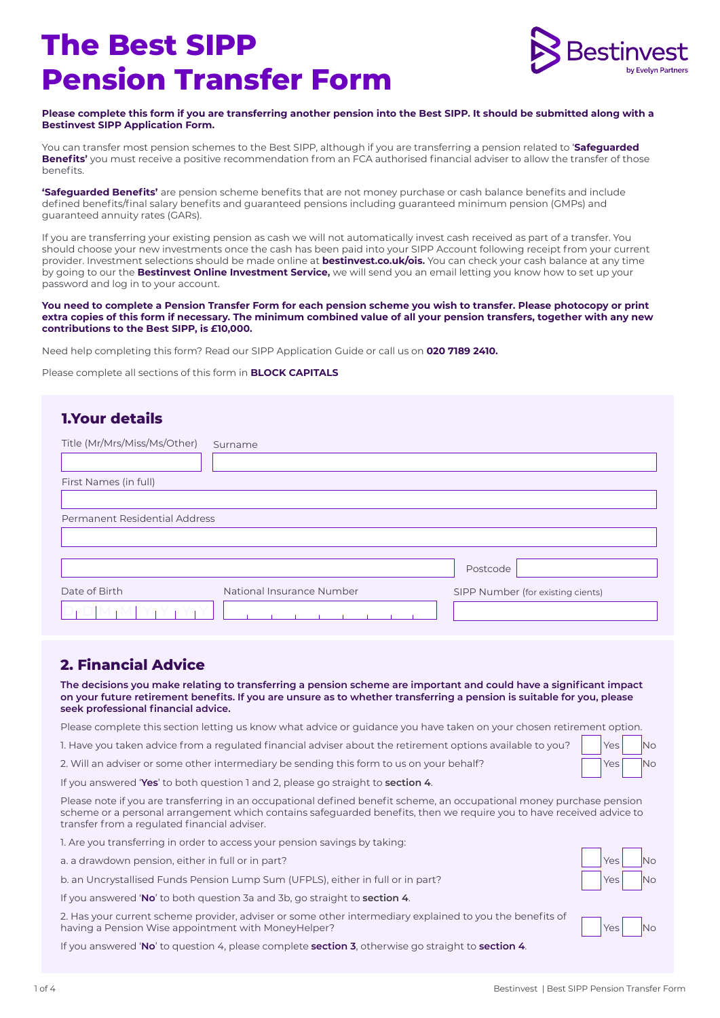# **The Best SIPP Pension Transfer Form**



#### **Please complete this form if you are transferring another pension into the Best SIPP. It should be submitted along with a Bestinvest SIPP Application Form.**

You can transfer most pension schemes to the Best SIPP, although if you are transferring a pension related to '**Safeguarded Benefits'** you must receive a positive recommendation from an FCA authorised financial adviser to allow the transfer of those benefits.

**'Safeguarded Benefits'** are pension scheme benefits that are not money purchase or cash balance benefits and include defined benefits/final salary benefits and guaranteed pensions including guaranteed minimum pension (GMPs) and guaranteed annuity rates (GARs).

If you are transferring your existing pension as cash we will not automatically invest cash received as part of a transfer. You should choose your new investments once the cash has been paid into your SIPP Account following receipt from your current provider. Investment selections should be made online at **bestinvest.co.uk/ois.** You can check your cash balance at any time by going to our the **Bestinvest Online Investment Service,** we will send you an email letting you know how to set up your password and log in to your account.

#### **You need to complete a Pension Transfer Form for each pension scheme you wish to transfer. Please photocopy or print extra copies of this form if necessary. The minimum combined value of all your pension transfers, together with any new contributions to the Best SIPP, is £10,000.**

Need help completing this form? Read our SIPP Application Guide or call us on **020 7189 2410.** 

Please complete all sections of this form in **BLOCK CAPITALS**

## Date of Birth  $D_1 D[M_1M]$   $Y_1Y_1Y_1Y_1$ **1.Your details** Title (Mr/Mrs/Miss/Ms/Other) Surname First Names (in full) Permanent Residential Address National Insurance Number Postcode SIPP Number (for existing cients)

### **2. Financial Advice**

**The decisions you make relating to transferring a pension scheme are important and could have a significant impact on your future retirement benefits. If you are unsure as to whether transferring a pension is suitable for you, please seek professional financial advice.**

Please complete this section letting us know what advice or guidance you have taken on your chosen retirement option.

1. Have you taken advice from a regulated financial adviser about the retirement options available to you?

2. Will an adviser or some other intermediary be sending this form to us on your behalf?

| <b>Yes</b> | <b>No</b> |
|------------|-----------|
| Yes        | <b>No</b> |

If you answered '**Yes**' to both question 1 and 2, please go straight to **section 4**.

Please note if you are transferring in an occupational defined benefit scheme, an occupational money purchase pension scheme or a personal arrangement which contains safeguarded benefits, then we require you to have received advice to transfer from a regulated financial adviser.

1. Are you transferring in order to access your pension savings by taking:

a. a drawdown pension, either in full or in part? The state of the state of the state of the No No No No No No

b. an Uncrystallised Funds Pension Lump Sum (UFPLS), either in full or in part? Yes No No No No No No No No No

If you answered '**No**' to both question 3a and 3b, go straight to **section 4**.

2. Has your current scheme provider, adviser or some other intermediary explained to you the benefits of having a Pension Wise appointment with MoneyHelper? Notice that the North MoneyHelper North American Communication of North American North American Communication of North American North American Communication of North Amer

If you answered '**No**' to question 4, please complete **section 3**, otherwise go straight to **section 4**.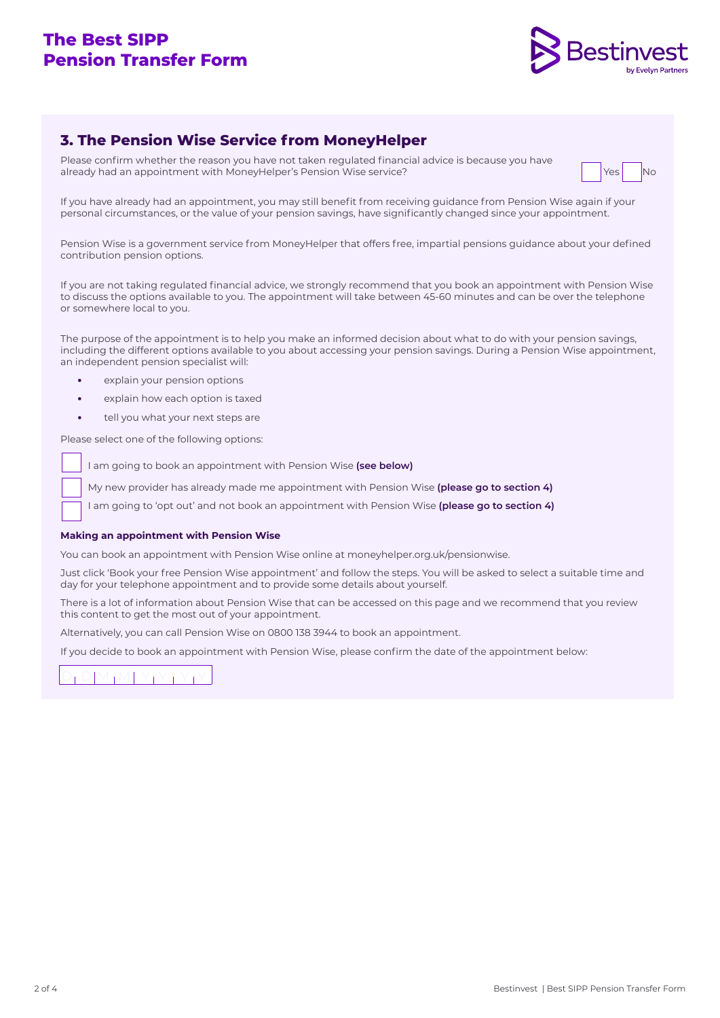### **The Best SIPP Pension Transfer Form**



### **3. The Pension Wise Service from MoneyHelper**

Please confirm whether the reason you have not taken regulated financial advice is because you have already had an appointment with MoneyHelper's Pension Wise service? No North MoneyHelper's Pension Wise service?



If you have already had an appointment, you may still benefit from receiving guidance from Pension Wise again if your personal circumstances, or the value of your pension savings, have significantly changed since your appointment.

Pension Wise is a government service from MoneyHelper that offers free, impartial pensions guidance about your defined contribution pension options.

If you are not taking regulated financial advice, we strongly recommend that you book an appointment with Pension Wise to discuss the options available to you. The appointment will take between 45-60 minutes and can be over the telephone or somewhere local to you.

The purpose of the appointment is to help you make an informed decision about what to do with your pension savings, including the different options available to you about accessing your pension savings. During a Pension Wise appointment, an independent pension specialist will:

- **•** explain your pension options
- **•** explain how each option is taxed
- **•** tell you what your next steps are

Please select one of the following options:

I am going to book an appointment with Pension Wise **(see below)**

My new provider has already made me appointment with Pension Wise **(please go to section 4)**

I am going to 'opt out' and not book an appointment with Pension Wise **(please go to section 4)**

### **Making an appointment with Pension Wise**

You can book an appointment with Pension Wise online at moneyhelper.org.uk/pensionwise.

Just click 'Book your free Pension Wise appointment' and follow the steps. You will be asked to select a suitable time and day for your telephone appointment and to provide some details about yourself.

There is a lot of information about Pension Wise that can be accessed on this page and we recommend that you review this content to get the most out of your appointment.

Alternatively, you can call Pension Wise on 0800 138 3944 to book an appointment.

If you decide to book an appointment with Pension Wise, please confirm the date of the appointment below:

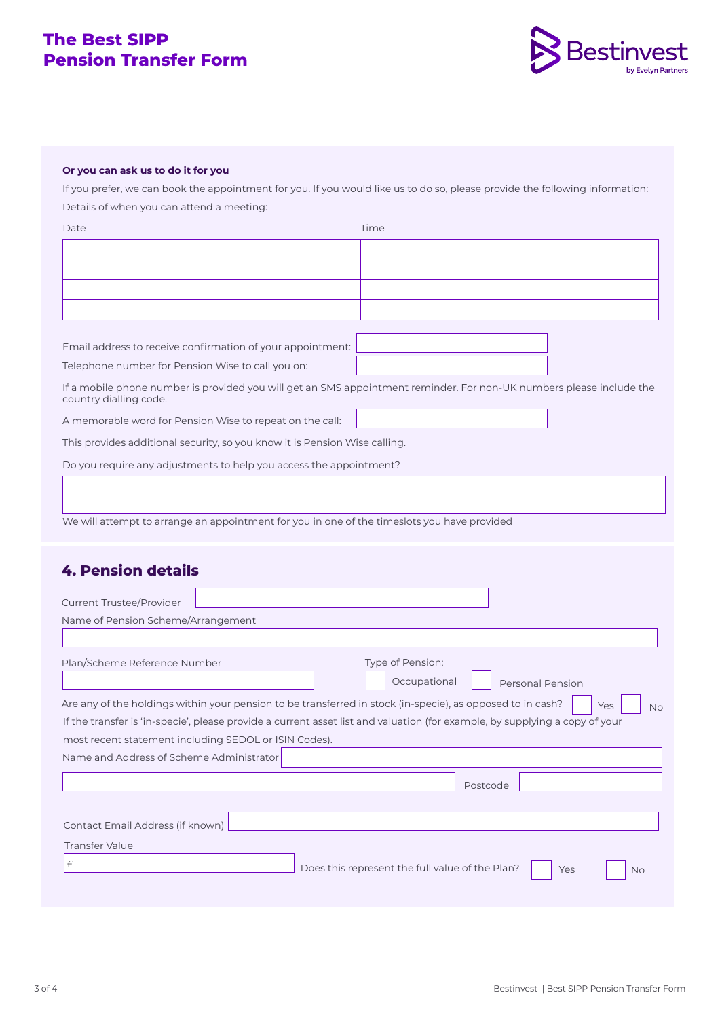### **The Best SIPP Pension Transfer Form**



### **Or you can ask us to do it for you**

If you prefer, we can book the appointment for you. If you would like us to do so, please provide the following information: Details of when you can attend a meeting:

| Date                                                                                                                        | Time                                                                                                                 |
|-----------------------------------------------------------------------------------------------------------------------------|----------------------------------------------------------------------------------------------------------------------|
|                                                                                                                             |                                                                                                                      |
|                                                                                                                             |                                                                                                                      |
|                                                                                                                             |                                                                                                                      |
|                                                                                                                             |                                                                                                                      |
|                                                                                                                             |                                                                                                                      |
| Email address to receive confirmation of your appointment:                                                                  |                                                                                                                      |
| Telephone number for Pension Wise to call you on:                                                                           |                                                                                                                      |
| country dialling code.                                                                                                      | If a mobile phone number is provided you will get an SMS appointment reminder. For non-UK numbers please include the |
| A memorable word for Pension Wise to repeat on the call:                                                                    |                                                                                                                      |
| This provides additional security, so you know it is Pension Wise calling.                                                  |                                                                                                                      |
| Do you require any adjustments to help you access the appointment?                                                          |                                                                                                                      |
|                                                                                                                             |                                                                                                                      |
|                                                                                                                             |                                                                                                                      |
| We will attempt to arrange an appointment for you in one of the timeslots you have provided                                 |                                                                                                                      |
|                                                                                                                             |                                                                                                                      |
| <b>4. Pension details</b>                                                                                                   |                                                                                                                      |
|                                                                                                                             |                                                                                                                      |
| <b>Current Trustee/Provider</b>                                                                                             |                                                                                                                      |
| Name of Pension Scheme/Arrangement                                                                                          |                                                                                                                      |
|                                                                                                                             |                                                                                                                      |
| Plan/Scheme Reference Number                                                                                                | Type of Pension:                                                                                                     |
|                                                                                                                             | Occupational<br><b>Personal Pension</b>                                                                              |
| Are any of the holdings within your pension to be transferred in stock (in-specie), as opposed to in cash?                  | Yes<br><b>No</b>                                                                                                     |
| If the transfer is 'in-specie', please provide a current asset list and valuation (for example, by supplying a copy of your |                                                                                                                      |
| most recent statement including SEDOL or ISIN Codes).                                                                       |                                                                                                                      |
| Name and Address of Scheme Administrator                                                                                    |                                                                                                                      |
|                                                                                                                             | Postcode                                                                                                             |
|                                                                                                                             |                                                                                                                      |
| Contact Email Address (if known)                                                                                            |                                                                                                                      |
| <b>Transfer Value</b>                                                                                                       |                                                                                                                      |
| $\pounds$                                                                                                                   | Does this represent the full value of the Plan?<br>Yes<br><b>No</b>                                                  |
|                                                                                                                             |                                                                                                                      |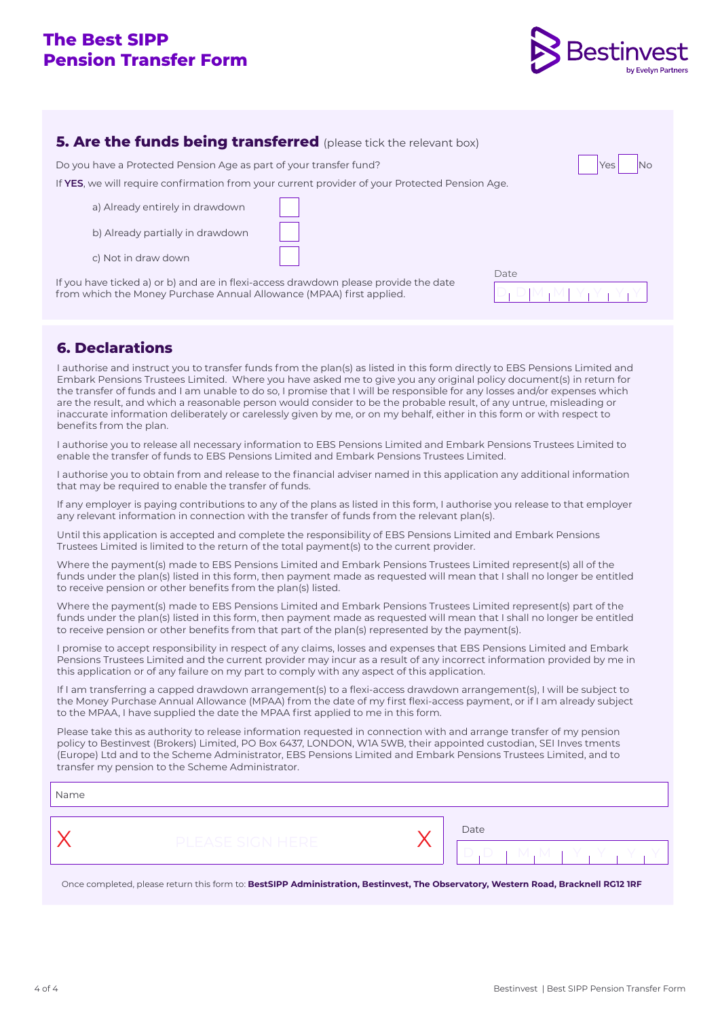### **The Best SIPP Pension Transfer Form**



| <b>5. Are the funds being transferred</b> (please tick the relevant box)                                                                                     |      |  |  |  |  |
|--------------------------------------------------------------------------------------------------------------------------------------------------------------|------|--|--|--|--|
| Do you have a Protected Pension Age as part of your transfer fund?                                                                                           | Yes  |  |  |  |  |
| If YES, we will require confirmation from your current provider of your Protected Pension Age.                                                               |      |  |  |  |  |
| a) Already entirely in drawdown                                                                                                                              |      |  |  |  |  |
| b) Already partially in drawdown                                                                                                                             |      |  |  |  |  |
| c) Not in draw down                                                                                                                                          |      |  |  |  |  |
| If you have ticked a) or b) and are in flexi-access drawdown please provide the date<br>from which the Money Purchase Annual Allowance (MPAA) first applied. | Date |  |  |  |  |

### **6. Declarations**

I authorise and instruct you to transfer funds from the plan(s) as listed in this form directly to EBS Pensions Limited and Embark Pensions Trustees Limited. Where you have asked me to give you any original policy document(s) in return for the transfer of funds and I am unable to do so, I promise that I will be responsible for any losses and/or expenses which are the result, and which a reasonable person would consider to be the probable result, of any untrue, misleading or inaccurate information deliberately or carelessly given by me, or on my behalf, either in this form or with respect to benefits from the plan.

I authorise you to release all necessary information to EBS Pensions Limited and Embark Pensions Trustees Limited to enable the transfer of funds to EBS Pensions Limited and Embark Pensions Trustees Limited.

I authorise you to obtain from and release to the financial adviser named in this application any additional information that may be required to enable the transfer of funds.

If any employer is paying contributions to any of the plans as listed in this form, I authorise you release to that employer any relevant information in connection with the transfer of funds from the relevant plan(s).

Until this application is accepted and complete the responsibility of EBS Pensions Limited and Embark Pensions Trustees Limited is limited to the return of the total payment(s) to the current provider.

Where the payment(s) made to EBS Pensions Limited and Embark Pensions Trustees Limited represent(s) all of the funds under the plan(s) listed in this form, then payment made as requested will mean that I shall no longer be entitled to receive pension or other benefits from the plan(s) listed.

Where the payment(s) made to EBS Pensions Limited and Embark Pensions Trustees Limited represent(s) part of the funds under the plan(s) listed in this form, then payment made as requested will mean that I shall no longer be entitled to receive pension or other benefits from that part of the plan(s) represented by the payment(s).

I promise to accept responsibility in respect of any claims, losses and expenses that EBS Pensions Limited and Embark Pensions Trustees Limited and the current provider may incur as a result of any incorrect information provided by me in this application or of any failure on my part to comply with any aspect of this application.

If I am transferring a capped drawdown arrangement(s) to a flexi-access drawdown arrangement(s), I will be subject to the Money Purchase Annual Allowance (MPAA) from the date of my first flexi-access payment, or if I am already subject to the MPAA, I have supplied the date the MPAA first applied to me in this form.

Please take this as authority to release information requested in connection with and arrange transfer of my pension policy to Bestinvest (Brokers) Limited, PO Box 6437, LONDON, W1A 5WB, their appointed custodian, SEI Inves tments (Europe) Ltd and to the Scheme Administrator, EBS Pensions Limited and Embark Pensions Trustees Limited, and to transfer my pension to the Scheme Administrator.

| Date<br><b>PLEASE SIGN HERE</b><br>$\Box$<br>$\Box$<br>- M |  |
|------------------------------------------------------------|--|

Y Y Once completed, please return this form to: **BestSIPP Administration, Bestinvest, The Observatory, Western Road, Bracknell RG12 1RF**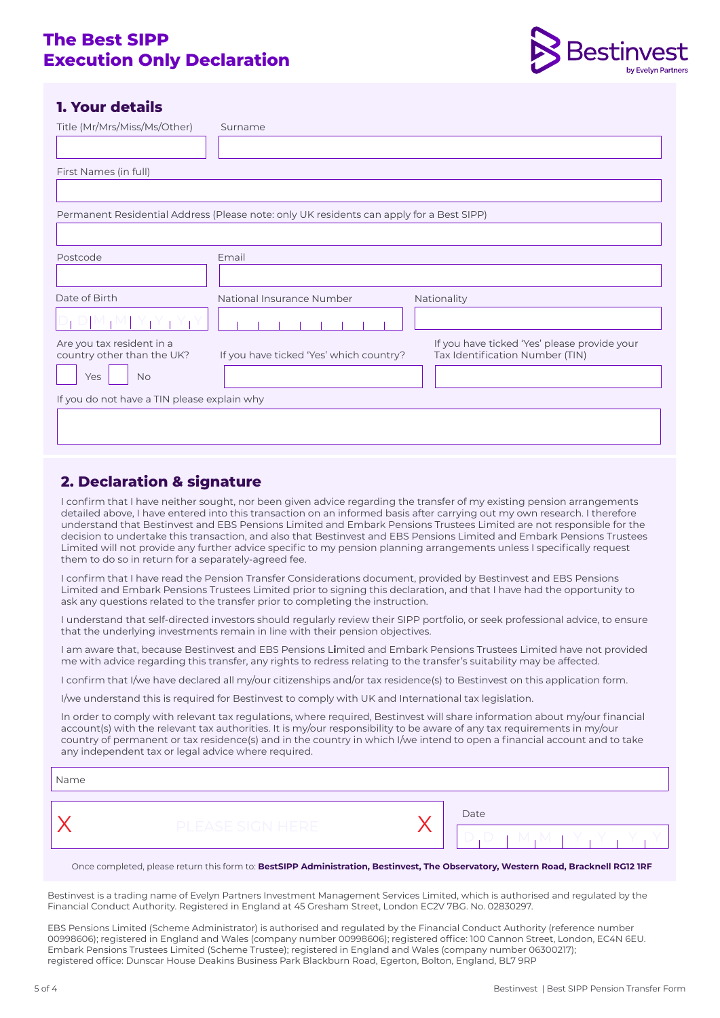### **The Best SIPP Execution Only Declaration**



### **1. Your details**

| Title (Mr/Mrs/Miss/Ms/Other)                            | Surname                                                                                  |                                                                                 |
|---------------------------------------------------------|------------------------------------------------------------------------------------------|---------------------------------------------------------------------------------|
|                                                         |                                                                                          |                                                                                 |
| First Names (in full)                                   |                                                                                          |                                                                                 |
|                                                         |                                                                                          |                                                                                 |
|                                                         | Permanent Residential Address (Please note: only UK residents can apply for a Best SIPP) |                                                                                 |
|                                                         |                                                                                          |                                                                                 |
| Postcode                                                | Email                                                                                    |                                                                                 |
|                                                         |                                                                                          |                                                                                 |
| Date of Birth                                           | National Insurance Number                                                                | Nationality                                                                     |
|                                                         |                                                                                          |                                                                                 |
| Are you tax resident in a<br>country other than the UK? | If you have ticked 'Yes' which country?                                                  | If you have ticked 'Yes' please provide your<br>Tax Identification Number (TIN) |
| <b>No</b><br>Yes                                        |                                                                                          |                                                                                 |
| If you do not have a TIN please explain why             |                                                                                          |                                                                                 |
|                                                         |                                                                                          |                                                                                 |
|                                                         |                                                                                          |                                                                                 |

### **2. Declaration & signature**

I confirm that I have neither sought, nor been given advice regarding the transfer of my existing pension arrangements detailed above, I have entered into this transaction on an informed basis after carrying out my own research. I therefore understand that Bestinvest and EBS Pensions Limited and Embark Pensions Trustees Limited are not responsible for the decision to undertake this transaction, and also that Bestinvest and EBS Pensions Limited and Embark Pensions Trustees Limited will not provide any further advice specific to my pension planning arrangements unless I specifically request them to do so in return for a separately-agreed fee.

I confirm that I have read the Pension Transfer Considerations document, provided by Bestinvest and EBS Pensions Limited and Embark Pensions Trustees Limited prior to signing this declaration, and that I have had the opportunity to ask any questions related to the transfer prior to completing the instruction.

I understand that self-directed investors should regularly review their SIPP portfolio, or seek professional advice, to ensure that the underlying investments remain in line with their pension objectives.

I am aware that, because Bestinvest and EBS Pensions L**i**mited and Embark Pensions Trustees Limited have not provided me with advice regarding this transfer, any rights to redress relating to the transfer's suitability may be affected.

I confirm that I/we have declared all my/our citizenships and/or tax residence(s) to Bestinvest on this application form.

I/we understand this is required for Bestinvest to comply with UK and International tax legislation.

In order to comply with relevant tax regulations, where required, Bestinvest will share information about my/our financial account(s) with the relevant tax authorities. It is my/our responsibility to be aware of any tax requirements in my/our country of permanent or tax residence(s) and in the country in which I/we intend to open a financial account and to take any independent tax or legal advice where required.

Name

 $\overline{\mathsf{X}}$  PLEASE SIGN HERE  $\overline{\mathsf{X}}$   $\overline{\mathsf{S}}$ D D M M Y Y Y Y

Once completed, please return this form to: **BestSIPP Administration, Bestinvest, The Observatory, Western Road, Bracknell RG12 1RF** 

Bestinvest is a trading name of Evelyn Partners Investment Management Services Limited, which is authorised and regulated by the Financial Conduct Authority. Registered in England at 45 Gresham Street, London EC2V 7BG. No. 02830297.

EBS Pensions Limited (Scheme Administrator) is authorised and regulated by the Financial Conduct Authority (reference number 00998606); registered in England and Wales (company number 00998606); registered office: 100 Cannon Street, London, EC4N 6EU. Embark Pensions Trustees Limited (Scheme Trustee); registered in England and Wales (company number 06300217); registered office: Dunscar House Deakins Business Park Blackburn Road, Egerton, Bolton, England, BL7 9RP